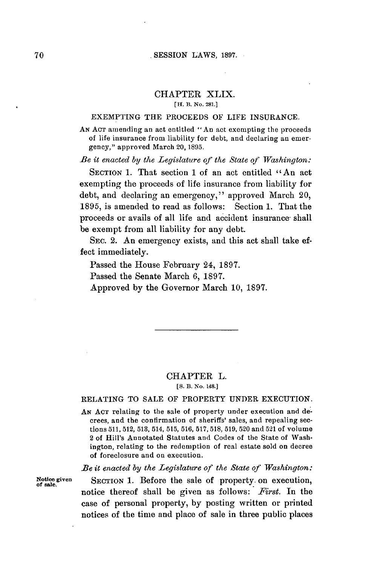### **. SESSION** LAWS, **1897.**

# CHAPTER XLIX.

#### [H. B. No. 281.]

# **EXEMPTING** THE PROCEEDS OF LIFE **INSURANCE.**

**AN ACT** amending an act entitled "An act exempting the proceeds of life insurance from liability for debt, and declaring an emergency," approved March **20, 1895.**

*Be it enacted by the Legislature of the State of Washington:*

**SECTION 1.** That section **1** of an act entitled " An act exempting the proceeds of life insurance from liability for debt, and declaring an emergency," approved March 20, **1895,** is amended to read as follows: Section **1.** That the proceeds or avails of all life and accident insurance shall be exempt from all liability for any debt.

SEC. 2. An emergency exists, and this act shall take effect immediately.

Passed the House February 24, **1897.**

Passed the Senate March **6, 1897.**

Approved **by** the Governor March **10, 1897.**

## CHAPTER L.

**[S. B. No. 14s.]**

### RELATING TO **SALE** OF PROPERTY **UNDER EXECUTION.**

**AN ACT** relating to the sale of property under execution and decrees, and the confirmation of sheriffs' sales, and repealing sections **511, 512, 513,** 514, **515, 516, 517,518, 519, 520** and **521** of volume 2 of Hill's Annotated Statutes and Codes of the State of Washington, relating to the redemption of real estate sold on decree of foreclosure and on execution.

*Be it enacted by the Legislature of the State of Washington:*

**Notice given SECTION 1.** Before the sale of property. on execution, **of sale.** notice thereof shall be given as follows: *First.* In the case of personal property, **by** posting written or printed notices of the time and place of sale in three public places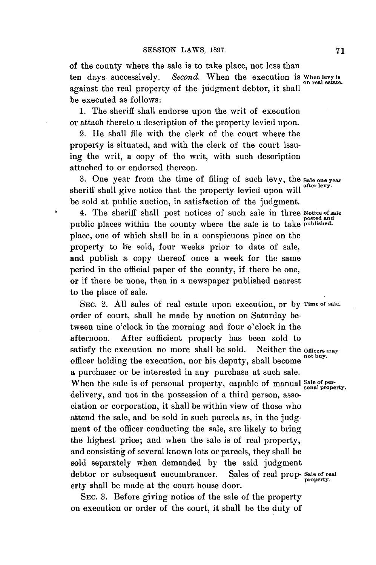of the county where the sale is to take place, not less than ten days. successively. *Second.* When the execution **is When levy is** on **real estate.** against the real property of the judgment debtor, it shall be executed as follows:

**1.** The sheriff shall endorse upon the writ of execution or attach thereto a description of the property levied upon.

2. He shall file with the clerk of the court where the property is situated, and with the clerk of the court issuing the writ, a copy of the writ, with such description attached to or endorsed thereon.

3. One year from the time of filing of such levy, the sale one year sheriff shall give notice that the property levied upon will after levy. be sold at public auction, in satisfaction of the judgment.

4. The sheriff shall post notices of such sale in three Notice of sale public places within the county where the sale is to take **published.** place, one of which shall be in a conspicuous place on the property to be sold, four weeks prior to date of sale, and publish a copy thereof once a week for the same period in the official paper of the county, if there be one, or if there be none, then in a newspaper published nearest to the place of sale.

SEc. 2. **All** sales of real estate upon execution, or **by Time of sale.** order of court, shall be made **by** auction on Saturday between nine o'clock in the morning and four o'clock in the afternoon. After sufficient property has been sold to satisfy the execution no more shall be sold. Neither the officers may officer holding the execution, nor his deputy, shall become **not buy.** a purchaser or be interested in any purchase at such sale. When the sale is of personal property, capable of manual Sale of perdelivery, and not in the possession of a third person, association or corporation, it shall be within view of those who attend the sale, and be sold in such parcels as, in the judgment of the officer conducting the sale, are likely to bring the highest price; and when the sale is of real property, and consisting of several known lots or parcels, they shall be sold separately when demanded **by** the said judgment debtor or subsequent encumbrancer. Sales of real prop- **Sale of real property.** erty shall be made at the court house door.

SEc. **3.** Before giving notice of the sale of the property on execution or order of the court, it shall be the duty **of** **71**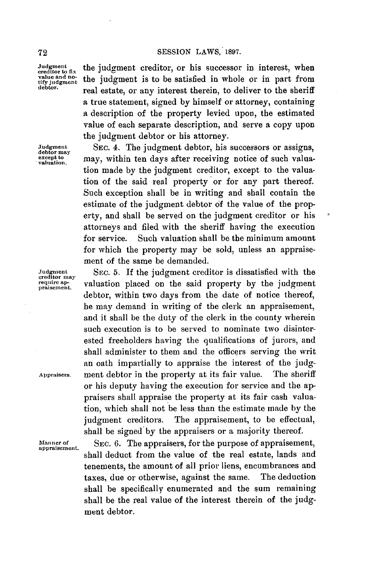**Judgment**<br>creditor to fix value and no-<br>tify judgment<br>debtor.

the judgment creditor, or his successor in interest, when the judgment is to be satisfied in whole or in part from real estate, or any interest therein, to deliver to the sheriff a true statement, signed **by** himself or attorney, containing a description of the property levied upon, the estimated value of each separate description, and serve a copy upon the judgment debtor or his attorney.

**Judgment** SEC. 4. The judgment debtor, his successors or assigns, **debtor may** except to may, within ten days after receiving notice of such valuation made **by** the judgment creditor, except to the valuation of the said real property or for any part thereof. Such exception shall be in writing and shall contain the estimate of the judgment debtor **of** the value of the property, and shall be served on the judgment creditor or his attorneys and filed with the sheriff having the execution for service. Such valuation shall be the minimum amount for which the property may be sold, unless an appraisement of the same be demanded.

**Judgment SEc. 5.** If the judgment creditor is dissatisfied with the **creditor may** valuation placed on the said property by the judgment debtor, within two days from the date of notice thereof, he may demand in writing of the clerk an appraisement, and it shall be the duty of the clerk in the county wherein such execution is to be served to nominate two disinterested freeholders having the qualifications of jurors, and shall administer to them and the officers serving the writ an oath impartially to appraise the interest of the **judg-Appraisers.** ment debtor in the property at its fair value. The sheriff or his deputy having the execution for service and the appraisers shall appraise the property at its fair cash valuation, which shall not be less than the estimate made **by** the judgment creditors. The appraisement, to be effectual, shall be signed **by** the appraisers or a majority thereof.

**Manner of** SEC. **6.** The appraisers, for the purpose of appraisement, **appraisement.** shall deduct from the value of the real estate, lands and tenements, the amount of all prior liens, encumbrances and taxes, due or otherwise, against the same. The deduction shall be specifically enumerated and the sum remaining shall be the real value of the interest therein of the **judg**ment debtor.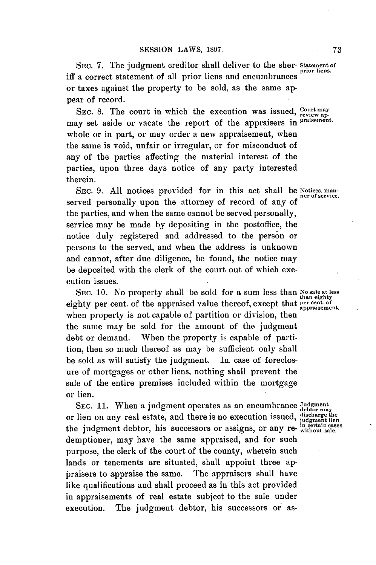SEC. 7. The judgment creditor shall deliver to the sher-Statement of prior liens. iff a correct statement of all prior liens and encumbrances or taxes against the property to be sold, as the same appear of record.

SEC. 8. The court in which the execution was issued, <sup>Court may</sup> apmay set aside or vacate the report of the appraisers in **praisement.** whole or in part, or may order a new appraisement, when the same is void, unfair or irregular, or for misconduct of any of the parties affecting the material interest of the parties, upon three days notice of any party interested therein.

SEC. 9. All notices provided for in this act shall be Notices, manserved personally upon the attorney of record of any of the parties, and when the same cannot **be** served personally, service may be made **by** depositing in the postoffice, the .notice duly registered and addressed to the person or persons to the served, and when the address is unknown and cannot, after due diligence, be found, the notice may be deposited with the clerk of the court out of which execution issues.

SEC. 10. No property shall be sold for a sum less than Nosale at less eighty per cent. of the appraised value thereof, except that appraisement. when property is not capable of partition or division, then the same may be sold for the amount of the judgment debt or demand. When the property is capable of partition, then so much thereof as may be sufficient only shall be sold as will satisfy the judgment. In. case of foreclosure of mortgages or other liens, nothing shall prevent the sale of the entire premises included within the mortgage or lien.

**SEC. 11.** When a judgment operates as an encumbrance **Judgment** or lien on any real estate, and there is no execution issued, discharge the the judgment debtor, his successors or assigns, or any re-  $\frac{in\ل{interior} }{without\ sale}$ . demptioner, may have the same appraised, and for such purpose, the clerk of the court of the county, wherein such lands or tenements are situated, shall appoint three appraisers to appraise the same. The appraisers shall have like qualifications and shall proceed as in this act provided in appraisements of real estate subject to the sale under execution. The judgment debtor, his successors or as-

**than eighty**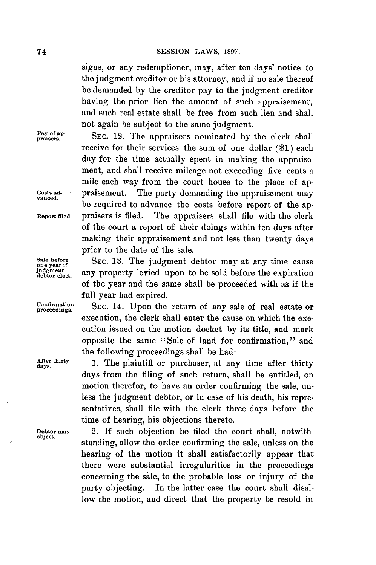signs, or any redemptioner, may, after ten days' notice to the judgment creditor or his attorney, and if no sale thereof be demanded **by** the creditor pay to the judgment creditor having the prior lien the amount of such appraisement, and such real estate shall be free from such lien and shall not again be subject to the same judgment.

**Pay of ap- praisers. SEC.** 12. The appraisers nominated **by** the clerk shall receive for their services the sum of one dollar **(\$1)** each day for the time actually spent in making the appraisement, and shall receive mileage not exceeding five cents a mile each way from the court house to the place of ap-**Costs ad- -** praisement. The party demanding the appraisement may **vanced.** <sup>t</sup> **be** required to advance the costs before report of the ap-**Report filed.** praisers is filed. The appraisers shall file with the clerk of the court a report of their doings within ten days after making their appraisement and not less than twenty days prior to the date of the sale.

Sale before SEC. 13. The judgment debtor may at any time cause<br> **one year** if any property levied upon to be sold before the explication judgment any property levied upon to be sold before the expiration of the year and the same shall be proceeded with as if the full year had expired.

Confirmation SEC. 14. Upon the return of any sale of real estate or execution, the clerk shall enter the cause on which the execution issued on the motion docket **by** its title, and mark opposite the same "Sale of land for confirmation," and the following proceedings shall be had:

After thirty 1. The plaintiff or purchaser, at any time after thirty days from the filing of such return, shall be entitled, on motion therefor, to have an order confirming the sale, unless the judgment debtor, or in case of his death, his representatives, shall file with the clerk three days before the time of hearing, his objections thereto.

**Debtor may** 2. **If** such objection be filed the court shall, notwithstanding, allow the order confirming the sale, unless on the hearing **of** the motion it shall satisfactorily appear that there were substantial irregularities in the proceedings concerning the sale, to the probable loss or injury of the party objecting. In the latter case the court shall disallow the motion, and direct that the property be resold in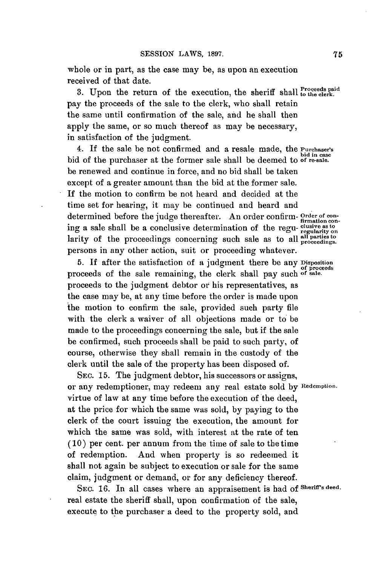whole or in part, as the case may be, as upon an execution received of that date.

3. Upon the return of the execution, the sheriff shall  $_{\text{to the clerk.}}^{\text{Proceeds paid}}$ pay the proceeds of the sale to the clerk, who shall retain the same until confirmation of the sale, and he shall then apply the same, or so much thereof as may be necessary, in satisfaction of the judgment.

**4.** If the sale be not confirmed and a resale made, the **Purchaser's** bid in case bid of the purchaser at the former sale shall be deemed to **of re-sale.** be renewed and continue in force, and no bid shall be taken except of a greater amount than the bid at the former sale. **If** the motion to confirm be not heard and decided at the time set for hearing, it may **be** continued and heard and determined before the judge thereafter. An order confirm-  $\frac{Order\ of\ con-}{firm\ function\ con-}$ ing a sale shall be a conclusive determination of the regu- clusive as to larity of the proceedings concerning such sale as to all **alI parties to** persons in any other action, suit or proceeding whatever.

**5. If** after the satisfaction of a judgment there be any **Disposition** proceeds of the sale remaining, the clerk shall pay such of sale. proceeds to the judgment debtor or his representatives, as the case may be, at any time before the order is made upon the motion to confirm the sale, provided such party file with the clerk a waiver of all objections made or to be made to the proceedings concerning the sale, but if the sale be confirmed, such proceeds shall be paid to such party, of course, otherwise they shall remain in the custody of the clerk until the sale of the property has been disposed of.

**SEC. 15.** The judgment debtor, his successors or assigns, or any redemptioner, may redeem any real estate sold **by Redemption.** virtue of law at any time before the execution of the deed, at the price for which the same was sold, **by** paying to the clerk of the court issuing the execution, the amount for which the same was sold, with interest at the rate of ten **(10)** per cent. per annum from the time of sale to the time of redemption. And when property is so redeemed it shall not again be subject to execution or sale for the same claim, judgment or demand, or for any deficiency thereof.

**SEC. 16.** In all cases where an appraisement is had **of Sheriff's deed.** real estate the sheriff shall, upon confirmation of the sale, execute to the purchaser a deed to the property sold, and

**75**